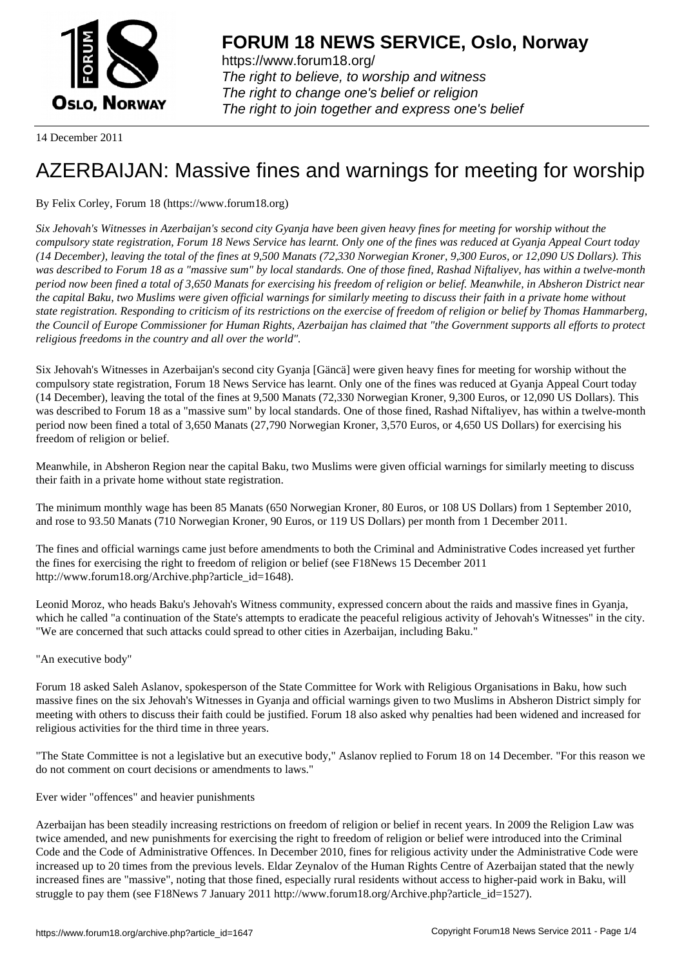

https://www.forum18.org/ The right to believe, to worship and witness The right to change one's belief or religion [The right to join together a](https://www.forum18.org/)nd express one's belief

14 December 2011

# [AZERBAIJAN: M](https://www.forum18.org)assive fines and warnings for meeting for worship

# By Felix Corley, Forum 18 (https://www.forum18.org)

*Six Jehovah's Witnesses in Azerbaijan's second city Gyanja have been given heavy fines for meeting for worship without the compulsory state registration, Forum 18 News Service has learnt. Only one of the fines was reduced at Gyanja Appeal Court today (14 December), leaving the total of the fines at 9,500 Manats (72,330 Norwegian Kroner, 9,300 Euros, or 12,090 US Dollars). This was described to Forum 18 as a "massive sum" by local standards. One of those fined, Rashad Niftaliyev, has within a twelve-month period now been fined a total of 3,650 Manats for exercising his freedom of religion or belief. Meanwhile, in Absheron District near the capital Baku, two Muslims were given official warnings for similarly meeting to discuss their faith in a private home without state registration. Responding to criticism of its restrictions on the exercise of freedom of religion or belief by Thomas Hammarberg, the Council of Europe Commissioner for Human Rights, Azerbaijan has claimed that "the Government supports all efforts to protect religious freedoms in the country and all over the world".*

Six Jehovah's Witnesses in Azerbaijan's second city Gyanja [Gäncä] were given heavy fines for meeting for worship without the compulsory state registration, Forum 18 News Service has learnt. Only one of the fines was reduced at Gyanja Appeal Court today (14 December), leaving the total of the fines at 9,500 Manats (72,330 Norwegian Kroner, 9,300 Euros, or 12,090 US Dollars). This was described to Forum 18 as a "massive sum" by local standards. One of those fined, Rashad Niftaliyev, has within a twelve-month period now been fined a total of 3,650 Manats (27,790 Norwegian Kroner, 3,570 Euros, or 4,650 US Dollars) for exercising his freedom of religion or belief.

Meanwhile, in Absheron Region near the capital Baku, two Muslims were given official warnings for similarly meeting to discuss their faith in a private home without state registration.

The minimum monthly wage has been 85 Manats (650 Norwegian Kroner, 80 Euros, or 108 US Dollars) from 1 September 2010, and rose to 93.50 Manats (710 Norwegian Kroner, 90 Euros, or 119 US Dollars) per month from 1 December 2011.

The fines and official warnings came just before amendments to both the Criminal and Administrative Codes increased yet further the fines for exercising the right to freedom of religion or belief (see F18News 15 December 2011 http://www.forum18.org/Archive.php?article\_id=1648).

Leonid Moroz, who heads Baku's Jehovah's Witness community, expressed concern about the raids and massive fines in Gyanja, which he called "a continuation of the State's attempts to eradicate the peaceful religious activity of Jehovah's Witnesses" in the city. "We are concerned that such attacks could spread to other cities in Azerbaijan, including Baku."

### "An executive body"

Forum 18 asked Saleh Aslanov, spokesperson of the State Committee for Work with Religious Organisations in Baku, how such massive fines on the six Jehovah's Witnesses in Gyanja and official warnings given to two Muslims in Absheron District simply for meeting with others to discuss their faith could be justified. Forum 18 also asked why penalties had been widened and increased for religious activities for the third time in three years.

"The State Committee is not a legislative but an executive body," Aslanov replied to Forum 18 on 14 December. "For this reason we do not comment on court decisions or amendments to laws."

Ever wider "offences" and heavier punishments

Azerbaijan has been steadily increasing restrictions on freedom of religion or belief in recent years. In 2009 the Religion Law was twice amended, and new punishments for exercising the right to freedom of religion or belief were introduced into the Criminal Code and the Code of Administrative Offences. In December 2010, fines for religious activity under the Administrative Code were increased up to 20 times from the previous levels. Eldar Zeynalov of the Human Rights Centre of Azerbaijan stated that the newly increased fines are "massive", noting that those fined, especially rural residents without access to higher-paid work in Baku, will struggle to pay them (see F18News 7 January 2011 http://www.forum18.org/Archive.php?article\_id=1527).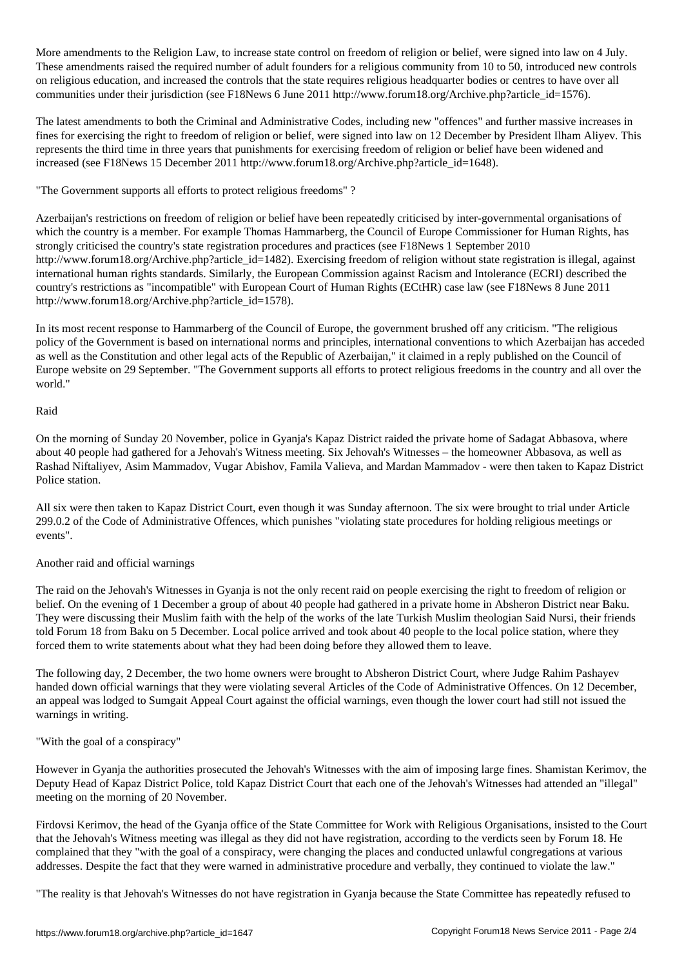More amendments to the Religion Law, to increase state control on freedom of religion or belief, were signed into law on 4 July. These amendments raised the required number of adult founders for a religious community from 10 to 50, introduced new controls on religious education, and increased the controls that the state requires religious headquarter bodies or centres to have over all communities under their jurisdiction (see F18News 6 June 2011 http://www.forum18.org/Archive.php?article\_id=1576).

The latest amendments to both the Criminal and Administrative Codes, including new "offences" and further massive increases in fines for exercising the right to freedom of religion or belief, were signed into law on 12 December by President Ilham Aliyev. This represents the third time in three years that punishments for exercising freedom of religion or belief have been widened and increased (see F18News 15 December 2011 http://www.forum18.org/Archive.php?article\_id=1648).

"The Government supports all efforts to protect religious freedoms" ?

Azerbaijan's restrictions on freedom of religion or belief have been repeatedly criticised by inter-governmental organisations of which the country is a member. For example Thomas Hammarberg, the Council of Europe Commissioner for Human Rights, has strongly criticised the country's state registration procedures and practices (see F18News 1 September 2010 http://www.forum18.org/Archive.php?article\_id=1482). Exercising freedom of religion without state registration is illegal, against international human rights standards. Similarly, the European Commission against Racism and Intolerance (ECRI) described the country's restrictions as "incompatible" with European Court of Human Rights (ECtHR) case law (see F18News 8 June 2011 http://www.forum18.org/Archive.php?article\_id=1578).

In its most recent response to Hammarberg of the Council of Europe, the government brushed off any criticism. "The religious policy of the Government is based on international norms and principles, international conventions to which Azerbaijan has acceded as well as the Constitution and other legal acts of the Republic of Azerbaijan," it claimed in a reply published on the Council of Europe website on 29 September. "The Government supports all efforts to protect religious freedoms in the country and all over the world."

#### Raid

On the morning of Sunday 20 November, police in Gyanja's Kapaz District raided the private home of Sadagat Abbasova, where about 40 people had gathered for a Jehovah's Witness meeting. Six Jehovah's Witnesses – the homeowner Abbasova, as well as Rashad Niftaliyev, Asim Mammadov, Vugar Abishov, Famila Valieva, and Mardan Mammadov - were then taken to Kapaz District Police station.

All six were then taken to Kapaz District Court, even though it was Sunday afternoon. The six were brought to trial under Article 299.0.2 of the Code of Administrative Offences, which punishes "violating state procedures for holding religious meetings or events".

### Another raid and official warnings

The raid on the Jehovah's Witnesses in Gyanja is not the only recent raid on people exercising the right to freedom of religion or belief. On the evening of 1 December a group of about 40 people had gathered in a private home in Absheron District near Baku. They were discussing their Muslim faith with the help of the works of the late Turkish Muslim theologian Said Nursi, their friends told Forum 18 from Baku on 5 December. Local police arrived and took about 40 people to the local police station, where they forced them to write statements about what they had been doing before they allowed them to leave.

The following day, 2 December, the two home owners were brought to Absheron District Court, where Judge Rahim Pashayev handed down official warnings that they were violating several Articles of the Code of Administrative Offences. On 12 December, an appeal was lodged to Sumgait Appeal Court against the official warnings, even though the lower court had still not issued the warnings in writing.

"With the goal of a conspiracy"

However in Gyanja the authorities prosecuted the Jehovah's Witnesses with the aim of imposing large fines. Shamistan Kerimov, the Deputy Head of Kapaz District Police, told Kapaz District Court that each one of the Jehovah's Witnesses had attended an "illegal" meeting on the morning of 20 November.

Firdovsi Kerimov, the head of the Gyanja office of the State Committee for Work with Religious Organisations, insisted to the Court that the Jehovah's Witness meeting was illegal as they did not have registration, according to the verdicts seen by Forum 18. He complained that they "with the goal of a conspiracy, were changing the places and conducted unlawful congregations at various addresses. Despite the fact that they were warned in administrative procedure and verbally, they continued to violate the law."

"The reality is that Jehovah's Witnesses do not have registration in Gyanja because the State Committee has repeatedly refused to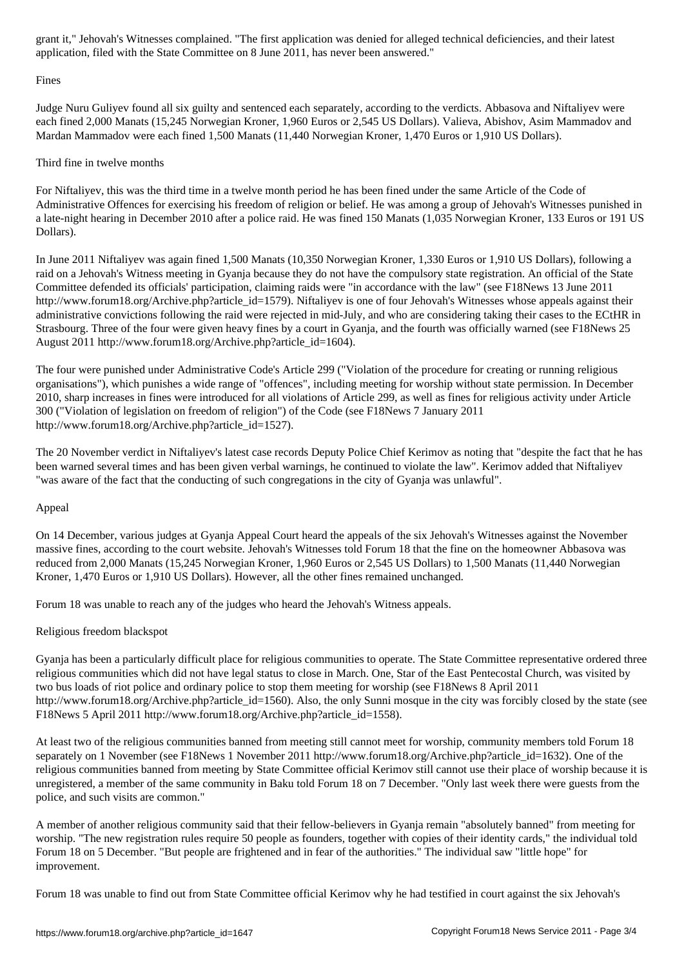application, filed with the State Committee on 8 June 2011, has never been answered."

#### Fines

Judge Nuru Guliyev found all six guilty and sentenced each separately, according to the verdicts. Abbasova and Niftaliyev were each fined 2,000 Manats (15,245 Norwegian Kroner, 1,960 Euros or 2,545 US Dollars). Valieva, Abishov, Asim Mammadov and Mardan Mammadov were each fined 1,500 Manats (11,440 Norwegian Kroner, 1,470 Euros or 1,910 US Dollars).

## Third fine in twelve months

For Niftaliyev, this was the third time in a twelve month period he has been fined under the same Article of the Code of Administrative Offences for exercising his freedom of religion or belief. He was among a group of Jehovah's Witnesses punished in a late-night hearing in December 2010 after a police raid. He was fined 150 Manats (1,035 Norwegian Kroner, 133 Euros or 191 US Dollars).

In June 2011 Niftaliyev was again fined 1,500 Manats (10,350 Norwegian Kroner, 1,330 Euros or 1,910 US Dollars), following a raid on a Jehovah's Witness meeting in Gyanja because they do not have the compulsory state registration. An official of the State Committee defended its officials' participation, claiming raids were "in accordance with the law" (see F18News 13 June 2011 http://www.forum18.org/Archive.php?article\_id=1579). Niftaliyev is one of four Jehovah's Witnesses whose appeals against their administrative convictions following the raid were rejected in mid-July, and who are considering taking their cases to the ECtHR in Strasbourg. Three of the four were given heavy fines by a court in Gyanja, and the fourth was officially warned (see F18News 25 August 2011 http://www.forum18.org/Archive.php?article\_id=1604).

The four were punished under Administrative Code's Article 299 ("Violation of the procedure for creating or running religious organisations"), which punishes a wide range of "offences", including meeting for worship without state permission. In December 2010, sharp increases in fines were introduced for all violations of Article 299, as well as fines for religious activity under Article 300 ("Violation of legislation on freedom of religion") of the Code (see F18News 7 January 2011 http://www.forum18.org/Archive.php?article\_id=1527).

The 20 November verdict in Niftaliyev's latest case records Deputy Police Chief Kerimov as noting that "despite the fact that he has been warned several times and has been given verbal warnings, he continued to violate the law". Kerimov added that Niftaliyev "was aware of the fact that the conducting of such congregations in the city of Gyanja was unlawful".

## Appeal

On 14 December, various judges at Gyanja Appeal Court heard the appeals of the six Jehovah's Witnesses against the November massive fines, according to the court website. Jehovah's Witnesses told Forum 18 that the fine on the homeowner Abbasova was reduced from 2,000 Manats (15,245 Norwegian Kroner, 1,960 Euros or 2,545 US Dollars) to 1,500 Manats (11,440 Norwegian Kroner, 1,470 Euros or 1,910 US Dollars). However, all the other fines remained unchanged.

Forum 18 was unable to reach any of the judges who heard the Jehovah's Witness appeals.

### Religious freedom blackspot

Gyanja has been a particularly difficult place for religious communities to operate. The State Committee representative ordered three religious communities which did not have legal status to close in March. One, Star of the East Pentecostal Church, was visited by two bus loads of riot police and ordinary police to stop them meeting for worship (see F18News 8 April 2011 http://www.forum18.org/Archive.php?article\_id=1560). Also, the only Sunni mosque in the city was forcibly closed by the state (see F18News 5 April 2011 http://www.forum18.org/Archive.php?article\_id=1558).

At least two of the religious communities banned from meeting still cannot meet for worship, community members told Forum 18 separately on 1 November (see F18News 1 November 2011 http://www.forum18.org/Archive.php?article\_id=1632). One of the religious communities banned from meeting by State Committee official Kerimov still cannot use their place of worship because it is unregistered, a member of the same community in Baku told Forum 18 on 7 December. "Only last week there were guests from the police, and such visits are common."

A member of another religious community said that their fellow-believers in Gyanja remain "absolutely banned" from meeting for worship. "The new registration rules require 50 people as founders, together with copies of their identity cards," the individual told Forum 18 on 5 December. "But people are frightened and in fear of the authorities." The individual saw "little hope" for improvement.

Forum 18 was unable to find out from State Committee official Kerimov why he had testified in court against the six Jehovah's